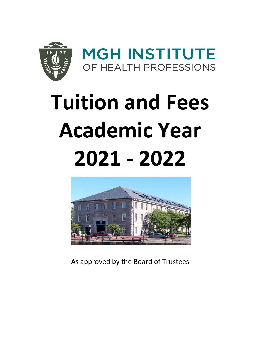

# **Tuition and Fees Academic Year 2021 - 2022**



As approved by the Board of Trustees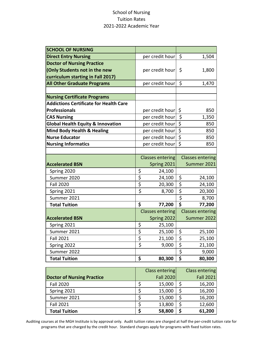### School of Nursing Tuition Rates 2021-2022 Academic Year

| <b>SCHOOL OF NURSING</b>                      |                                 |                         |                                     |                         |
|-----------------------------------------------|---------------------------------|-------------------------|-------------------------------------|-------------------------|
| <b>Direct Entry Nursing</b>                   |                                 | per credit hour         | \$                                  | 1,504                   |
| <b>Doctor of Nursing Practice</b>             |                                 |                         |                                     |                         |
| (Only Students not in the new                 |                                 | per credit hour         | \$                                  | 1,800                   |
| curriculum starting in Fall 2017)             |                                 |                         |                                     |                         |
| <b>All Other Graduate Programs</b>            |                                 | per credit hour         | $\zeta$                             | 1,470                   |
|                                               |                                 |                         |                                     |                         |
| <b>Nursing Certificate Programs</b>           |                                 |                         |                                     |                         |
| <b>Addictions Certificate for Health Care</b> |                                 |                         |                                     |                         |
| <b>Professionals</b>                          |                                 | per credit hour         | \$                                  | 850                     |
| <b>CAS Nursing</b>                            |                                 | per credit hour         | \$                                  | 1,350                   |
| <b>Global Health Equity &amp; Innovation</b>  |                                 | per credit hour         | $\overline{\xi}$                    | 850                     |
| <b>Mind Body Health &amp; Healing</b>         |                                 | per credit hour         | $\overline{\xi}$                    | 850                     |
| <b>Nurse Educator</b>                         |                                 | per credit hour         | $\overline{\xi}$                    | 850                     |
| <b>Nursing Informatics</b>                    |                                 | per credit hour         | $\overline{\xi}$                    | 850                     |
|                                               |                                 |                         |                                     |                         |
|                                               |                                 | <b>Classes entering</b> |                                     | <b>Classes entering</b> |
| <b>Accelerated BSN</b>                        |                                 | Spring 2021             |                                     | Summer 2021             |
| Spring 2020                                   | \$                              | 24,100                  |                                     |                         |
| Summer 2020                                   | $\overline{\varsigma}$          | 24,100                  | \$                                  | 24,100                  |
| <b>Fall 2020</b>                              | $\overline{\xi}$                | 20,300                  | \$                                  | 24,100                  |
| Spring 2021                                   | $\overline{\boldsymbol{\zeta}}$ | 8,700                   | $\overline{\xi}$                    | 20,300                  |
| Summer 2021                                   |                                 |                         | \$                                  | 8,700                   |
| <b>Total Tuition</b>                          | \$                              | 77,200                  |                                     | 77,200                  |
|                                               |                                 | <b>Classes entering</b> |                                     | <b>Classes entering</b> |
| <b>Accelerated BSN</b>                        |                                 | Spring 2022             |                                     | Summer 2022             |
| Spring 2021                                   | $rac{5}{5}$                     | 25,100                  |                                     |                         |
| Summer 2021                                   |                                 | 25,100                  | \$                                  | 25,100                  |
| <b>Fall 2021</b>                              | \$                              | 21,100                  | $\overline{\boldsymbol{\zeta}}$     | 25,100                  |
| Spring 2022                                   | $\overline{\boldsymbol{\zeta}}$ | 9,000                   | $\overline{\xi}$                    | 21,100                  |
| Summer 2022                                   |                                 |                         | $\overline{\boldsymbol{\varsigma}}$ | 9,000                   |
| <b>Total Tuition</b>                          | \$                              | 80,300                  | $\overline{\boldsymbol{\zeta}}$     | 80,300                  |

|                                   | Class entering   | <b>Class entering</b> |
|-----------------------------------|------------------|-----------------------|
| <b>Doctor of Nursing Practice</b> | <b>Fall 2020</b> | <b>Fall 2021</b>      |
| <b>Fall 2020</b>                  | 15,000           | 16,200                |
| Spring 2021                       | 15,000           | 16,200                |
| Summer 2021                       | 15,000           | 16,200                |
| <b>Fall 2021</b>                  | 13,800           | 12,600                |
| <b>Total Tuition</b>              | 58,800           | 61,200                |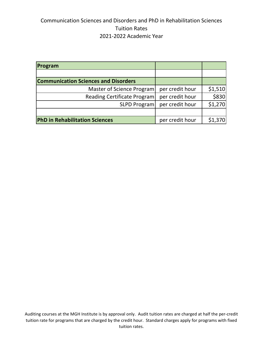## Communication Sciences and Disorders and PhD in Rehabilitation Sciences Tuition Rates 2021-2022 Academic Year

| Program                                     |                 |         |
|---------------------------------------------|-----------------|---------|
|                                             |                 |         |
| <b>Communication Sciences and Disorders</b> |                 |         |
| Master of Science Program                   | per credit hour | \$1,510 |
| Reading Certificate Program                 | per credit hour | \$830   |
| <b>SLPD Program</b>                         | per credit hour | \$1,270 |
|                                             |                 |         |
| <b>PhD in Rehabilitation Sciences</b>       | per credit hour | \$1,370 |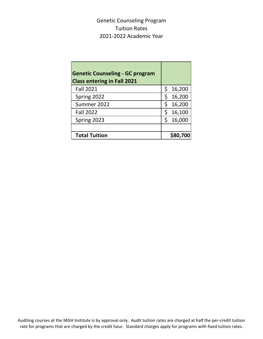Genetic Counseling Program Tuition Rates 2021-2022 Academic Year

| <b>Genetic Counseling - GC program</b><br><b>Class entering in Fall 2021</b> |     |          |
|------------------------------------------------------------------------------|-----|----------|
| <b>Fall 2021</b>                                                             | \$. | 16,200   |
| Spring 2022                                                                  |     | 16,200   |
| Summer 2022                                                                  | \$  | 16,200   |
| <b>Fall 2022</b>                                                             |     | 16,100   |
| Spring 2023                                                                  |     | 16,000   |
|                                                                              |     |          |
| <b>Total Tuition</b>                                                         |     | \$80,700 |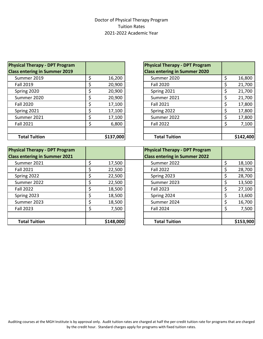#### Doctor of Physical Therapy Program Tuition Rates 2021-2022 Academic Year

| <b>Physical Therapy - DPT Program</b> |           | <b>Physical Therapy - DPT Program</b> |          |
|---------------------------------------|-----------|---------------------------------------|----------|
| <b>Class entering in Summer 2019</b>  |           | <b>Class entering in Summer 2020</b>  |          |
| Summer 2019                           | 16,200    | Summer 2020                           | 16,800   |
| <b>Fall 2019</b>                      | 20,900    | <b>Fall 2020</b>                      | 21,700   |
| Spring 2020                           | 20,900    | Spring 2021                           | 21,700   |
| Summer 2020                           | 20,900    | Summer 2021                           | 21,700   |
| <b>Fall 2020</b>                      | 17,100    | <b>Fall 2021</b>                      | 17,800   |
| Spring 2021                           | 17,100    | Spring 2022                           | 17,800   |
| Summer 2021                           | 17,100    | Summer 2022                           | 17,800   |
| <b>Fall 2021</b>                      | 6,800     | <b>Fall 2022</b>                      | 7,100    |
| <b>Total Tuition</b>                  | \$137,000 | <b>Total Tuition</b>                  | \$142,40 |

| ical Therapy - DPT Program |    |           | <b>Physical Therapy - DPT Program</b> |  |
|----------------------------|----|-----------|---------------------------------------|--|
| entering in Summer 2019    |    |           | <b>Class entering in Summer 2020</b>  |  |
| ummer 2019                 | Ś  | 16,200    | Summer 2020                           |  |
| all 2019                   | Ś  | 20,900    | <b>Fall 2020</b>                      |  |
| oring 2020                 | S  | 20,900    | Spring 2021                           |  |
| ummer 2020                 | Ś  | 20,900    | Summer 2021                           |  |
| all 2020                   | S  | 17,100    | <b>Fall 2021</b>                      |  |
| oring 2021                 | \$ | 17,100    | Spring 2022                           |  |
| ummer 2021                 | \$ | 17,100    | Summer 2022                           |  |
| all 2021                   | \$ | 6,800     | <b>Fall 2022</b>                      |  |
|                            |    |           |                                       |  |
| <b>Total Tuition</b>       |    | \$137,000 | <b>Total Tuition</b>                  |  |

| <b>Physical Therapy - DPT Program</b> | <b>Physical Therapy - DPT Program</b> |           |                                      |          |
|---------------------------------------|---------------------------------------|-----------|--------------------------------------|----------|
| <b>Class entering in Summer 2021</b>  |                                       |           | <b>Class entering in Summer 2022</b> |          |
| Summer 2021                           |                                       | 17,500    | Summer 2022                          | 18,100   |
| <b>Fall 2021</b>                      |                                       | 22,500    | <b>Fall 2022</b>                     | 28,700   |
| Spring 2022                           |                                       | 22,500    | Spring 2023                          | 28,700   |
| Summer 2022                           |                                       | 22,500    | Summer 2023                          | 13,500   |
| <b>Fall 2022</b>                      |                                       | 18,500    | <b>Fall 2023</b>                     | 27,100   |
| Spring 2023                           |                                       | 18,500    | Spring 2024                          | 13,600   |
| Summer 2023                           |                                       | 18,500    | Summer 2024                          | 16,700   |
| <b>Fall 2023</b>                      |                                       | 7,500     | <b>Fall 2024</b>                     | 7,500    |
|                                       |                                       |           |                                      |          |
| <b>Total Tuition</b>                  |                                       | \$148,000 | <b>Total Tuition</b>                 | \$153,90 |

| ical Therapy - DPT Program |    |           | <b>Physical Therapy - DPT Program</b> |           |
|----------------------------|----|-----------|---------------------------------------|-----------|
| entering in Summer 2021    |    |           | <b>Class entering in Summer 2022</b>  |           |
| ummer 2021                 | Ś  | 17,500    | Summer 2022                           | 18,100    |
| all 2021                   | S  | 22,500    | <b>Fall 2022</b>                      | 28,700    |
| oring 2022                 |    | 22,500    | Spring 2023                           | 28,700    |
| ummer 2022                 | Ś  | 22,500    | Summer 2023                           | 13,500    |
| all 2022                   | Ś  | 18,500    | <b>Fall 2023</b>                      | 27,100    |
| oring 2023                 | \$ | 18,500    | Spring 2024                           | 13,600    |
| ummer 2023                 | Ś  | 18,500    | Summer 2024                           | 16,700    |
| all 2023                   | \$ | 7,500     | <b>Fall 2024</b>                      | 7,500     |
|                            |    |           |                                       |           |
| <b>Total Tuition</b>       |    | \$148,000 | <b>Total Tuition</b>                  | \$153,900 |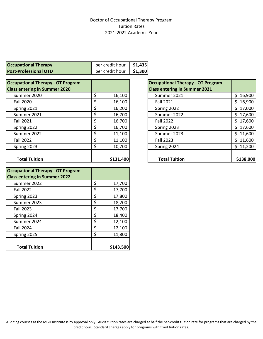#### Doctor of Occupational Therapy Program Tuition Rates 2021-2022 Academic Year

| <b>Occupational Therapy</b>  | per credit hour $\vert$ \$1,435 |         |
|------------------------------|---------------------------------|---------|
| <b>Post-Professional OTD</b> | per credit hour                 | \$1,300 |

| <b>Occupational Therapy - OT Program</b> |           | <b>Occupational Therapy - OT Program</b> |           |
|------------------------------------------|-----------|------------------------------------------|-----------|
| <b>Class entering in Summer 2020</b>     |           | <b>Class entering in Summer 2021</b>     |           |
| Summer 2020                              | 16,100    | Summer 2021                              | \$16,900  |
| <b>Fall 2020</b>                         | 16,100    | <b>Fall 2021</b>                         | \$16,900  |
| Spring 2021                              | 16,200    | Spring 2022                              | \$17,000  |
| Summer 2021                              | 16,700    | Summer 2022                              | \$17,600  |
| <b>Fall 2021</b>                         | 16,700    | <b>Fall 2022</b>                         | \$17,600  |
| Spring 2022                              | 16,700    | Spring 2023                              | \$17,600  |
| Summer 2022                              | 11,100    | Summer 2023                              | \$11,600  |
| <b>Fall 2022</b>                         | 11,100    | Fall 2023                                | \$11,600  |
| Spring 2023                              | 10,700    | Spring 2024                              | \$11,200  |
| <b>Total Tuition</b>                     | \$131,400 | <b>Total Tuition</b>                     | \$138,000 |

| <b>Occupational Therapy - OT Program</b><br><b>Class entering in Summer 2022</b> |              |
|----------------------------------------------------------------------------------|--------------|
| Summer 2022                                                                      | \$<br>17,700 |
| <b>Fall 2022</b>                                                                 | \$<br>17,700 |
| Spring 2023                                                                      | \$<br>17,800 |
| Summer 2023                                                                      | \$<br>18,200 |
| <b>Fall 2023</b>                                                                 | \$<br>17,700 |
| Spring 2024                                                                      | \$<br>18,400 |
| Summer 2024                                                                      | \$<br>12,100 |
| <b>Fall 2024</b>                                                                 | \$<br>12,100 |
| Spring 2025                                                                      | \$<br>11,800 |
|                                                                                  |              |
| <b>Total Tuition</b>                                                             | \$143,500    |

| <b>Occupational Therapy - OT Program</b> |               |
|------------------------------------------|---------------|
| <b>Class entering in Summer 2021</b>     |               |
| Summer 2021                              | 16,900<br>\$  |
| <b>Fall 2021</b>                         | 16,900<br>Ś.  |
| Spring 2022                              | Ś<br>17,000   |
| Summer 2022                              | \$<br>17,600  |
| <b>Fall 2022</b>                         | 17,600<br>\$  |
| Spring 2023                              | 17,600<br>\$  |
| Summer 2023                              | Ś.<br>11,600  |
| <b>Fall 2023</b>                         | 11,600<br>Ś   |
| Spring 2024                              | \$.<br>11,200 |
|                                          |               |
| <b>Total Tuition</b>                     | \$138,000     |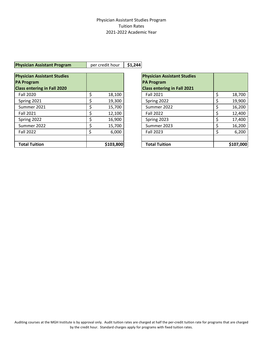#### Physician Assistant Studies Program Tuition Rates 2021-2022 Academic Year

#### **Physician Assistant Program** per credit hour | \$1,244

| <b>Physician Assistant Studies</b> |    |           | <b>Physician Assistant Studies</b> |  |
|------------------------------------|----|-----------|------------------------------------|--|
| <b>PA Program</b>                  |    |           | <b>PA Program</b>                  |  |
| <b>Class entering in Fall 2020</b> |    |           | <b>Class entering in Fall 2021</b> |  |
| <b>Fall 2020</b>                   | Ś  | 18,100    | <b>Fall 2021</b>                   |  |
| Spring 2021                        | Ś  | 19,300    | Spring 2022                        |  |
| Summer 2021                        | S  | 15,700    | Summer 2022                        |  |
| <b>Fall 2021</b>                   |    | 12,100    | <b>Fall 2022</b>                   |  |
| Spring 2022                        |    | 16,900    | Spring 2023                        |  |
| Summer 2022                        |    | 15,700    | Summer 2023                        |  |
| <b>Fall 2022</b>                   | \$ | 6,000     | <b>Fall 2023</b>                   |  |
|                                    |    |           |                                    |  |
| <b>Total Tuition</b>               |    | \$103,800 | <b>Total Tuition</b>               |  |

| <b>Physician Assistant Studies</b><br><b>PA Program</b><br><b>Class entering in Fall 2021</b> |              |
|-----------------------------------------------------------------------------------------------|--------------|
| <b>Fall 2021</b>                                                                              | \$<br>18,700 |
| Spring 2022                                                                                   | \$<br>19,900 |
| Summer 2022                                                                                   | \$<br>16,200 |
| <b>Fall 2022</b>                                                                              | \$<br>12,400 |
| Spring 2023                                                                                   | \$<br>17,400 |
| Summer 2023                                                                                   | \$<br>16,200 |
| <b>Fall 2023</b>                                                                              | \$<br>6,200  |
|                                                                                               |              |
| <b>Total Tuition</b>                                                                          | \$107,000    |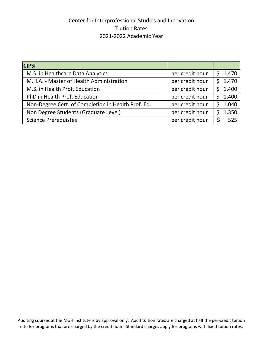## Center for Interprofessional Studies and Innovation Tuition Rates 2021-2022 Academic Year

| <b>CIPSI</b>                                       |                 |              |
|----------------------------------------------------|-----------------|--------------|
| M.S. in Healthcare Data Analytics                  | per credit hour | \$1,470      |
| M.H.A. - Master of Health Administration           | per credit hour | \$1,470      |
| M.S. in Health Prof. Education                     | per credit hour | 1,400        |
| PhD in Health Prof. Education                      | per credit hour | 1,400<br>\$. |
| Non-Degree Cert. of Completion in Health Prof. Ed. | per credit hour | 1,040        |
| Non Degree Students (Graduate Level)               | per credit hour | 1,350        |
| <b>Science Prerequistes</b>                        | per credit hour | 525          |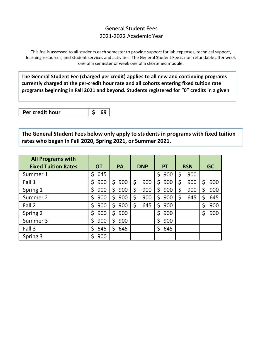## General Student Fees 2021-2022 Academic Year

This fee is assessed to all students each semester to provide support for lab expenses, technical support, learning resources, and student services and activities. The General Student Fee is non-refundable after week one of a semester or week one of a shortened module.

**The General Student Fee (charged per credit) applies to all new and continuing programs currently charged at the per-credit hour rate and all cohorts entering fixed tuition rate programs beginning in Fall 2021 and beyond. Students registered for "0" credits in a given** 

**Per credit hour \$ 69**

**The General Student Fees below only apply to students in programs with fixed tuition rates who began in Fall 2020, Spring 2021, or Summer 2021.**

| <b>All Programs with</b>   |           |           |                  |     |            |     |           |     |    |     |
|----------------------------|-----------|-----------|------------------|-----|------------|-----|-----------|-----|----|-----|
| <b>Fixed Tuition Rates</b> | <b>OT</b> | <b>PA</b> | PT<br><b>DNP</b> |     | <b>BSN</b> |     | <b>GC</b> |     |    |     |
| Summer 1                   | \$<br>645 |           |                  |     | \$         | 900 |           | 900 |    |     |
| Fall 1                     | Ś<br>900  | Ŝ.<br>900 | \$               | 900 | Ś          | 900 | \$        | 900 | Ś  | 900 |
| Spring 1                   | Ś.<br>900 | \$<br>900 | \$               | 900 | Ś          | 900 |           | 900 | \$ | 900 |
| Summer 2                   | \$<br>900 | \$<br>900 | \$               | 900 | \$         | 900 | \$        | 645 | \$ | 645 |
| Fall 2                     | \$<br>900 | \$<br>900 | \$               | 645 | \$         | 900 |           |     | \$ | 900 |
| Spring 2                   | Ś<br>900  | \$<br>900 |                  |     | \$         | 900 |           |     | \$ | 900 |
| Summer 3                   | 900<br>\$ | 900<br>Ś  |                  |     | Ś          | 900 |           |     |    |     |
| Fall 3                     | \$<br>645 | \$<br>645 |                  |     | Ś          | 645 |           |     |    |     |
| Spring 3                   | 900       |           |                  |     |            |     |           |     |    |     |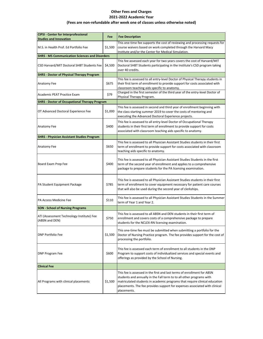#### **Other Fees and Charges 2021-2022 Academic Year**

#### **(Fees are non-refundable after week one of classes unless otherwise noted)**

| <b>CIPSI - Center for Interprofessional</b><br><b>Studies and Innovation</b> | Fee     | <b>Fee Description</b>                                                                                                                                                                                                                                                                                                     |
|------------------------------------------------------------------------------|---------|----------------------------------------------------------------------------------------------------------------------------------------------------------------------------------------------------------------------------------------------------------------------------------------------------------------------------|
| M.S. in Health Prof. Ed Portfolio Fee                                        | \$1,500 | This one-time fee supports the cost of reviewing and processing requests for<br>course waivers based on work completed through the Harvard Macy<br>Institute and/or the Center for Medical Simulation.                                                                                                                     |
| <b>SHRS - MS Communication Sciences and Disorders</b>                        |         |                                                                                                                                                                                                                                                                                                                            |
| CSD Harvard/MIT Doctoral SHBT Students Fee                                   | \$4,500 | This fee assessed each year for two years covers the cost of Harvard/MIT<br>Doctoral SHBT Students participating in the Institute's CSD program taking<br>over 40 credits.                                                                                                                                                 |
| <b>SHRS - Doctor of Physical Therapy Program</b>                             |         |                                                                                                                                                                                                                                                                                                                            |
| Anatomy Fee                                                                  | \$675   | This fee is assessed to all entry-level Doctor of Physical Therapy students in<br>their first term of enrollment to provide support for costs associated with<br>classroom teaching aids specific to anatomy.                                                                                                              |
| Academic PEAT Practice Exam                                                  | \$79    | Charged in the first semester of the third year of the entry-level Doctor of<br>Physical Therapy Program.                                                                                                                                                                                                                  |
| <b>SHRS</b> - Doctor of Occupational Therapy Program                         |         |                                                                                                                                                                                                                                                                                                                            |
| OT Advanced Doctoral Experience Fee                                          | \$1,000 | This fee is assessed in second and third year of enrollment beginning with<br>the class starting summer 2019 to cover the costs of mentoring and<br>executing the Advanced Doctoral Experience projects.                                                                                                                   |
| Anatomy Fee                                                                  | \$400   | This fee is assessed to all entry-level Doctor of Occupational Therapy<br>students in their first term of enrollment to provide support for costs<br>associated with classroom teaching aids specific to anatomy.                                                                                                          |
| <b>SHRS - Physician Assistant Studies Program</b>                            |         |                                                                                                                                                                                                                                                                                                                            |
| Anatomy Fee                                                                  | \$650   | This fee is assessed to all Physician Assistant Studies students in their first<br>term of enrollment to provide support for costs associated with classroom<br>teaching aids specific to anatomy.                                                                                                                         |
| Board Exam Prep Fee                                                          | \$400   | This fee is assessed to all Physician Assistant Studies Students in the first<br>term of the second year of enrollment and applies to a comprehensive<br>package to prepare students for the PA licensing examination.                                                                                                     |
| PA Student Equipment Package                                                 | \$785   | This fee is assessed to all Physician Assistant Studies students in their first<br>term of enrollment to cover equipment necessary for patient care courses<br>that will also be used during the second year of clerkships.                                                                                                |
| PA Access Medicine Fee                                                       | \$110   | This fee is assessed to all Physician Assistant Studies Students in the Summer<br>term of Year 1 and Year 2.                                                                                                                                                                                                               |
| <b>SON - School of Nursing Programs</b>                                      |         |                                                                                                                                                                                                                                                                                                                            |
| ATI (Assessment Technology Institute) Fee<br>(ABSN and DEN)                  | \$750   | This fee is assessed to all ABSN and DEN students in their first term of<br>enrollment and covers costs of a comprehensive package to prepare<br>students for the NCLEX-RN licensing examination.                                                                                                                          |
| <b>DNP Portfolio Fee</b>                                                     | \$1,500 | This one-time fee must be submitted when submitting a portfolio for the<br>Doctor of Nursing Practice program. The fee provides support for the cost of<br>processing the portfolio.                                                                                                                                       |
| <b>DNP Program Fee</b>                                                       | \$600   | This fee is assessed each term of enrollment to all students in the DNP<br>Program to support costs of individualized services and special events and<br>offerings as provided by the School of Nursing.                                                                                                                   |
| <b>Clinical Fee</b>                                                          |         |                                                                                                                                                                                                                                                                                                                            |
| All Programs with clinical placements                                        | \$1,500 | This fee is assessed in the first and last terms of enrollment for ABSN<br>students and annually in the Fall term to to all other programs with<br>matriculated students in academic programs that require clinical education<br>placements. The fee provides support for expenses associated with clinical<br>placements. |